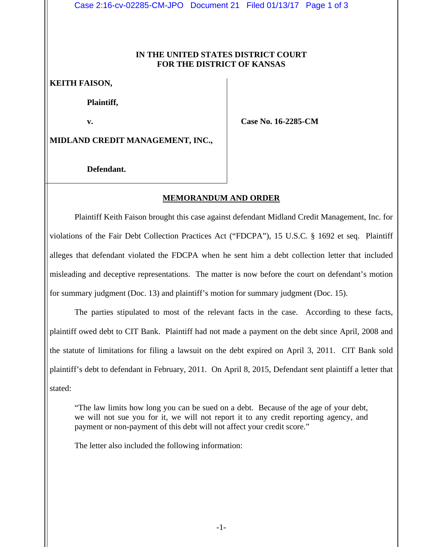Case 2:16-cv-02285-CM-JPO Document 21 Filed 01/13/17 Page 1 of 3

## **IN THE UNITED STATES DISTRICT COURT FOR THE DISTRICT OF KANSAS**

## **KEITH FAISON,**

 **Plaintiff,** 

 **v.** 

 **Case No. 16-2285-CM** 

**MIDLAND CREDIT MANAGEMENT, INC.,** 

 **Defendant.** 

## **MEMORANDUM AND ORDER**

 Plaintiff Keith Faison brought this case against defendant Midland Credit Management, Inc. for violations of the Fair Debt Collection Practices Act ("FDCPA"), 15 U.S.C. § 1692 et seq. Plaintiff alleges that defendant violated the FDCPA when he sent him a debt collection letter that included misleading and deceptive representations. The matter is now before the court on defendant's motion for summary judgment (Doc. 13) and plaintiff's motion for summary judgment (Doc. 15).

 The parties stipulated to most of the relevant facts in the case. According to these facts, plaintiff owed debt to CIT Bank. Plaintiff had not made a payment on the debt since April, 2008 and the statute of limitations for filing a lawsuit on the debt expired on April 3, 2011. CIT Bank sold plaintiff's debt to defendant in February, 2011. On April 8, 2015, Defendant sent plaintiff a letter that stated:

"The law limits how long you can be sued on a debt. Because of the age of your debt, we will not sue you for it, we will not report it to any credit reporting agency, and payment or non-payment of this debt will not affect your credit score."

The letter also included the following information: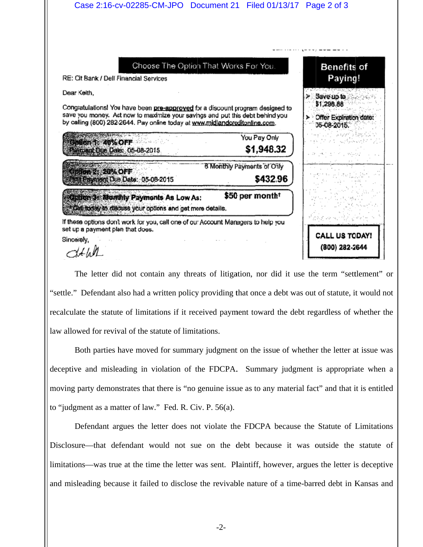

The letter did not contain any threats of litigation, nor did it use the term "settlement" or "settle." Defendant also had a written policy providing that once a debt was out of stature, it would not recalculate the statute of limitations if it received payment toward the debt regardless of whether the law allowed for revival of the statute of limitations.

Both parties have moved for summary judgment on the issue of whether the letter at issue was deceptive and misleading in violation of the FDCPA. Summary judgment is appropriate when a moving party demonstrates that there is "no genuine issue as to any material fact" and that it is entitled to "judgment as a matter of law." Fed. R. Civ. P. 56(a).

Defendant argues the letter does not violate the FDCPA because the Statute of Limitations Disclosure—that defendant would not sue on the debt because it was outside the statute of limitations—was true at the time the letter was sent. Plaintiff, however, argues the letter is deceptive and misleading because it failed to disclose the revivable nature of a time-barred debt in Kansas and